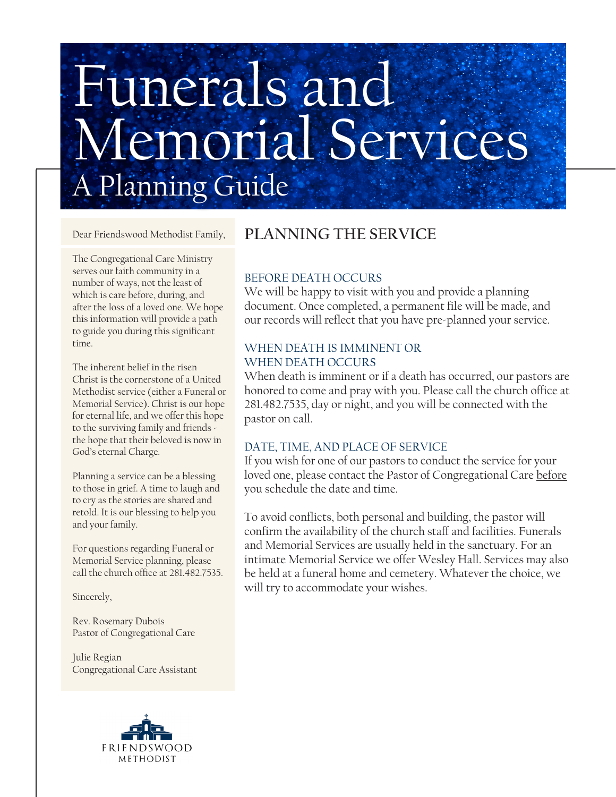# Funerals and emorial Services A Planning Guide

Dear Friendswood Methodist Family,

The Congregational Care Ministry serves our faith community in a number of ways, not the least of which is care before, during, and after the loss of a loved one. We hope this information will provide a path to guide you during this significant time.

The inherent belief in the risen Christ is the cornerstone of a United Methodist service (either a Funeral or Memorial Service). Christ is our hope for eternal life, and we offer this hope to the surviving family and friends the hope that their beloved is now in God's eternal Charge.

Planning a service can be a blessing to those in grief. A time to laugh and to cry as the stories are shared and retold. It is our blessing to help you and your family.

For questions regarding Funeral or Memorial Service planning, please call the church office at 281.482.7535.

Sincerely,

Rev. Rosemary Dubois Pastor of Congregational Care

Julie Regian Congregational Care Assistant



## **PLANNING THE SERVICE**

#### BEFORE DEATH OCCURS

We will be happy to visit with you and provide a planning document. Once completed, a permanent file will be made, and our records will reflect that you have pre-planned your service.

#### WHEN DEATH IS IMMINENT OR WHEN DEATH OCCURS

When death is imminent or if a death has occurred, our pastors are honored to come and pray with you. Please call the church office at 281.482.7535, day or night, and you will be connected with the pastor on call.

#### DATE, TIME, AND PLACE OF SERVICE

If you wish for one of our pastors to conduct the service for your loved one, please contact the Pastor of Congregational Care before you schedule the date and time.

To avoid conflicts, both personal and building, the pastor will confirm the availability of the church staff and facilities. Funerals and Memorial Services are usually held in the sanctuary. For an intimate Memorial Service we offer Wesley Hall. Services may also be held at a funeral home and cemetery. Whatever the choice, we will try to accommodate your wishes.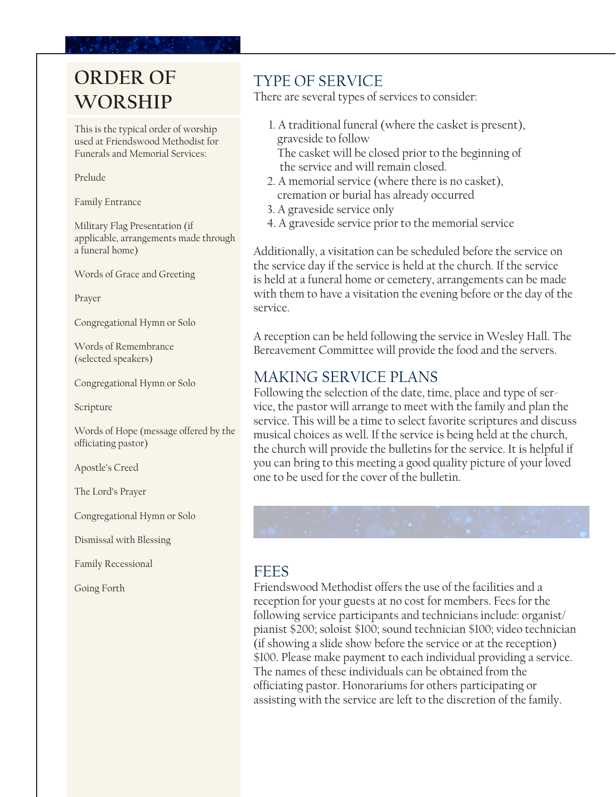## **ORDER OF WORSHIP**

This is the typical order of worship used at Friendswood Methodist for Funerals and Memorial Services:

Prelude

Family Entrance

Military Flag Presentation (if applicable, arrangements made through a funeral home)

Words of Grace and Greeting

Prayer

Congregational Hymn or Solo

Words of Remembrance (selected speakers)

Congregational Hymn or Solo

Scripture

Words of Hope (message offered by the officiating pastor)

Apostle's Creed

The Lord's Prayer

Congregational Hymn or Solo

Dismissal with Blessing

Family Recessional

Going Forth

## TYPE OF SERVICE

There are several types of services to consider:

- 1. A traditional funeral (where the casket is present), graveside to follow The casket will be closed prior to the beginning of the service and will remain closed.
- 2. A memorial service (where there is no casket), cremation or burial has already occurred
- 3. A graveside service only
- 4. A graveside service prior to the memorial service

Additionally, a visitation can be scheduled before the service on the service day if the service is held at the church. If the service is held at a funeral home or cemetery, arrangements can be made with them to have a visitation the evening before or the day of the service.

A reception can be held following the service in Wesley Hall. The Bereavement Committee will provide the food and the servers.

## MAKING SERVICE PLANS

Following the selection of the date, time, place and type of service, the pastor will arrange to meet with the family and plan the service. This will be a time to select favorite scriptures and discuss musical choices as well. If the service is being held at the church, the church will provide the bulletins for the service. It is helpful if you can bring to this meeting a good quality picture of your loved one to be used for the cover of the bulletin.

## **FFES**

Friendswood Methodist offers the use of the facilities and a reception for your guests at no cost for members. Fees for the following service participants and technicians include: organist/ pianist \$200; soloist \$100; sound technician \$100; video technician (if showing a slide show before the service or at the reception) \$100. Please make payment to each individual providing a service. The names of these individuals can be obtained from the officiating pastor. Honorariums for others participating or assisting with the service are left to the discretion of the family.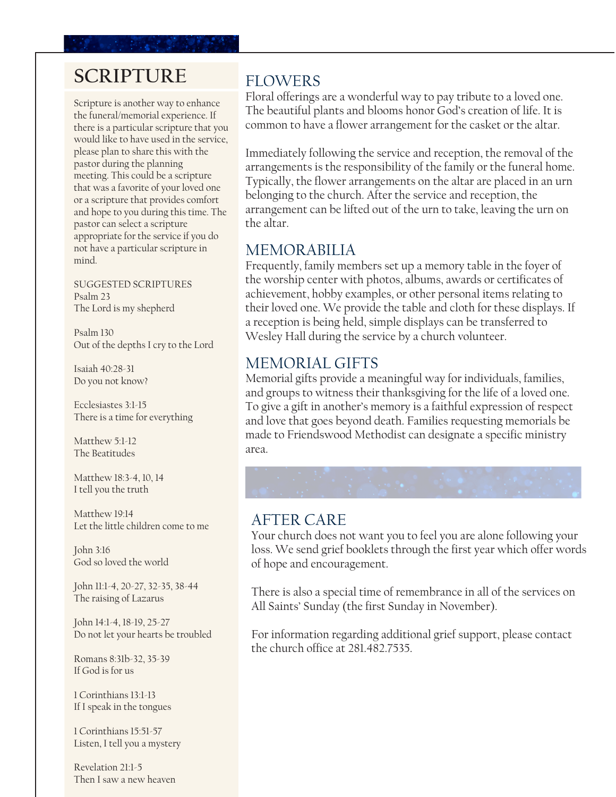## **SCRIPTURE**

Scripture is another way to enhance the funeral/memorial experience. If there is a particular scripture that you would like to have used in the service, please plan to share this with the pastor during the planning meeting. This could be a scripture that was a favorite of your loved one or a scripture that provides comfort and hope to you during this time. The pastor can select a scripture appropriate for the service if you do not have a particular scripture in mind.

SUGGESTED SCRIPTURES Psalm 23 The Lord is my shepherd

Psalm 130 Out of the depths I cry to the Lord

Isaiah 40:28-31 Do you not know?

Ecclesiastes 3:1-15 There is a time for everything

Matthew 5:1-12 The Beatitudes

Matthew 18:3-4, 10, 14 I tell you the truth

Matthew 19:14 Let the little children come to me

John 3:16 God so loved the world

John 11:1-4, 20-27, 32-35, 38-44 The raising of Lazarus

John 14:1-4, 18-19, 25-27 Do not let your hearts be troubled

Romans 8:31b-32, 35-39 If God is for us

1 Corinthians 13:1-13 If I speak in the tongues

1 Corinthians 15:51-57 Listen, I tell you a mystery

Revelation 21:1-5 Then I saw a new heaven

## FLOWERS

Floral offerings are a wonderful way to pay tribute to a loved one. The beautiful plants and blooms honor God's creation of life. It is common to have a flower arrangement for the casket or the altar.

Immediately following the service and reception, the removal of the arrangements is the responsibility of the family or the funeral home. Typically, the flower arrangements on the altar are placed in an urn belonging to the church. After the service and reception, the arrangement can be lifted out of the urn to take, leaving the urn on the altar.

#### MEMORABILIA

Frequently, family members set up a memory table in the foyer of the worship center with photos, albums, awards or certificates of achievement, hobby examples, or other personal items relating to their loved one. We provide the table and cloth for these displays. If a reception is being held, simple displays can be transferred to Wesley Hall during the service by a church volunteer.

## MEMORIAL GIFTS

Memorial gifts provide a meaningful way for individuals, families, and groups to witness their thanksgiving for the life of a loved one. To give a gift in another's memory is a faithful expression of respect and love that goes beyond death. Families requesting memorials be made to Friendswood Methodist can designate a specific ministry area.



## AFTER CARE

Your church does not want you to feel you are alone following your loss. We send grief booklets through the first year which offer words of hope and encouragement.

There is also a special time of remembrance in all of the services on All Saints' Sunday (the first Sunday in November).

For information regarding additional grief support, please contact the church office at 281.482.7535.